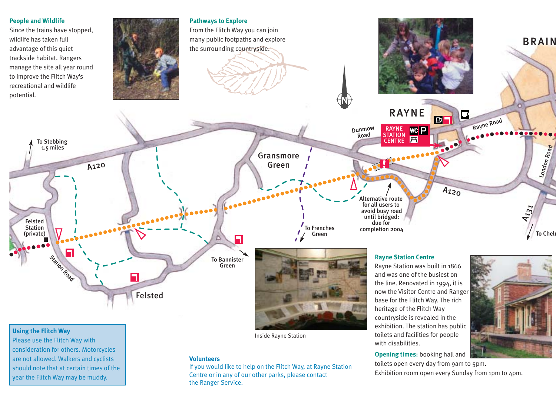

## **Using the Flitch Way**

Please use the Flitch Way with consideration for others. Motorcycles are not allowed. Walkers and cyclists should note that at certain times of the year the Flitch Way may be muddy.

Inside Rayne Station

#### **Volunteers**

Green

Felsted

n

If you would like to help on the Flitch Way, at Rayne Station Centre or in any of our other parks, please contact the Ranger Service.

Rayne Station was built in 1866 and was one of the busiest on the line. Renovated in 1994, it is now the Visitor Centre and Ranger base for the Flitch Way. The rich heritage of the Flitch Way countryside is revealed in the exhibition. The station has public toilets and facilities for people with disabilities.

**Opening times:** booking hall and toilets open every day from 9am to 5pm. Exhibition room open every Sunday from 1pm to 4pm.

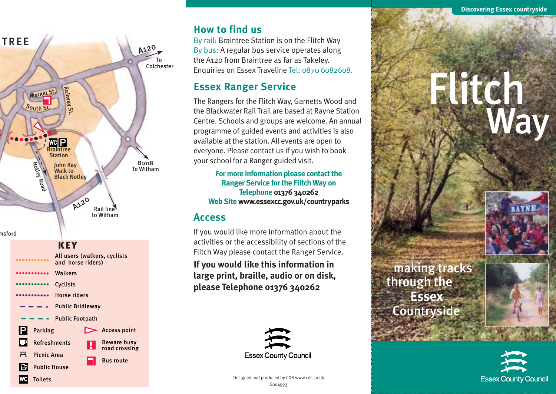

## **How to find us**

By rail: Braintree Station is on the Flitch Way By bus: A regular bus service operates along the A120 from Braintree as far as Takeley. Enquiries on Essex Traveline Tel: 0870 6082608.

# **Essex Ranger Service**

The Rangers for the Flitch Way, Garnetts Wood and the Blackwater Rail Trail are based at Rayne Station Centre. Schools and groups are welcome. An annual programme of guided events and activities is also available at the station. All events are open to everyone. Please contact us if you wish to book your school for a Ranger guided visit.

**For more information please contact the Ranger Service for the Flitch Way on Telephone 01376 340262 Web Site www.essexcc.gov.uk/countryparks**

# **Access**

If you would like more information about the activities or the accessibility of sections of the Flitch Way please contact the Ranger Service.

**If you would like this information in large print, braille, audio or on disk, please Telephone 01376 340262** 



# Flitch Way



making tracks through the **Essex** Countryside

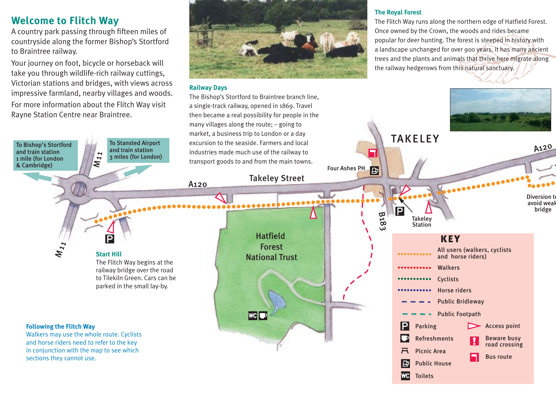# **Welcome to Flitch Way**

A country park passing through fifteen miles of countryside along the former Bishop's Stortford to Braintree railway.

Your journey on foot, bicycle or horseback will take you through wildlife-rich railway cuttings, Victorian stations and bridges, with views across impressive farmland, nearby villages and woods.

For more information about the Flitch Way visit Rayne Station Centre near Braintree.



## **Railway Days**

## **The Royal Forest**

The Flitch Way runs along the northern edge of Hatfield Forest. Once owned by the Crown, the woods and rides became popular for deer hunting. The forest is steeped in history with a landscape unchanged for over 900 years. It has many ancient trees and the plants and animals that thrive here migrate along the railway hedgerows from this natural sanctuary.